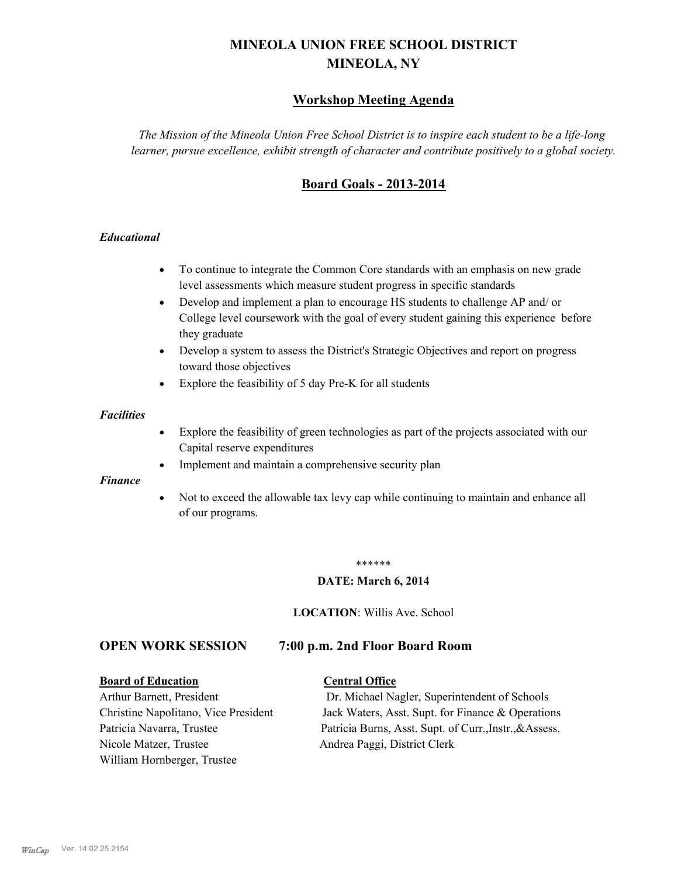# **MINEOLA UNION FREE SCHOOL DISTRICT MINEOLA, NY**

# **Workshop Meeting Agenda**

*The Mission of the Mineola Union Free School District is to inspire each student to be a life-long learner, pursue excellence, exhibit strength of character and contribute positively to a global society.*

# **Board Goals - 2013-2014**

## *Educational*

- · To continue to integrate the Common Core standards with an emphasis on new grade level assessments which measure student progress in specific standards
- · Develop and implement a plan to encourage HS students to challenge AP and/ or College level coursework with the goal of every student gaining this experience before they graduate
- Develop a system to assess the District's Strategic Objectives and report on progress toward those objectives
- · Explore the feasibility of 5 day Pre-K for all students

#### *Facilities*

- · Explore the feasibility of green technologies as part of the projects associated with our Capital reserve expenditures
- Implement and maintain a comprehensive security plan

#### *Finance*

• Not to exceed the allowable tax levy cap while continuing to maintain and enhance all of our programs.

#### \*\*\*\*\*\*

#### **DATE: March 6, 2014**

**LOCATION**: Willis Ave. School

# **OPEN WORK SESSION 7:00 p.m. 2nd Floor Board Room**

#### **Board of Education Central Office**

Nicole Matzer, Trustee Andrea Paggi, District Clerk William Hornberger, Trustee

Arthur Barnett, President Dr. Michael Nagler, Superintendent of Schools Christine Napolitano, Vice President Jack Waters, Asst. Supt. for Finance & Operations Patricia Navarra, Trustee Patricia Burns, Asst. Supt. of Curr., Instr., &Assess.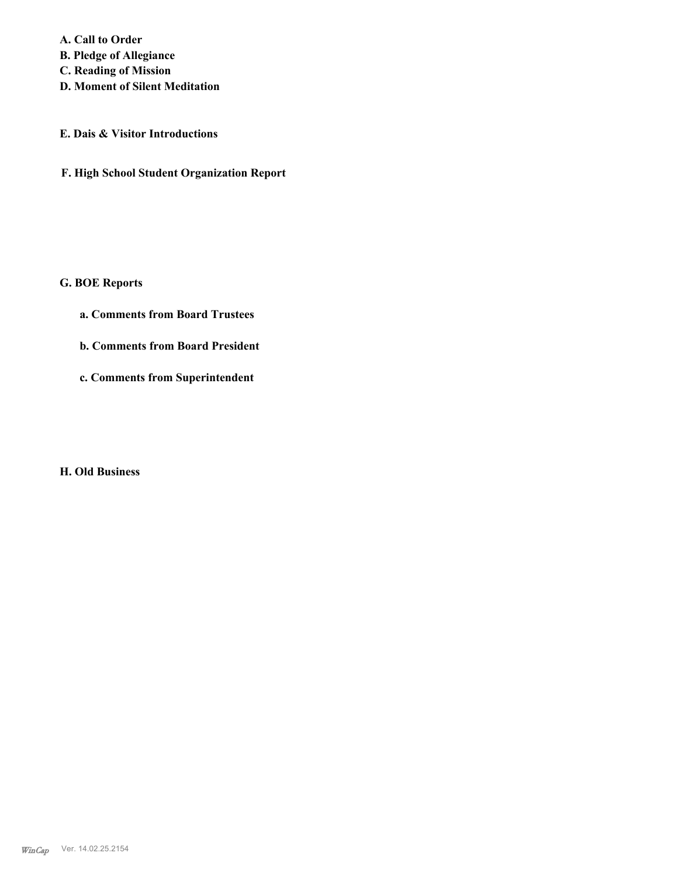**A. Call to Order B. Pledge of Allegiance C. Reading of Mission**

**D. Moment of Silent Meditation**

## **E. Dais & Visitor Introductions**

**F. High School Student Organization Report**

# **G. BOE Reports**

- **a. Comments from Board Trustees**
- **b. Comments from Board President**
- **c. Comments from Superintendent**

# **H. Old Business**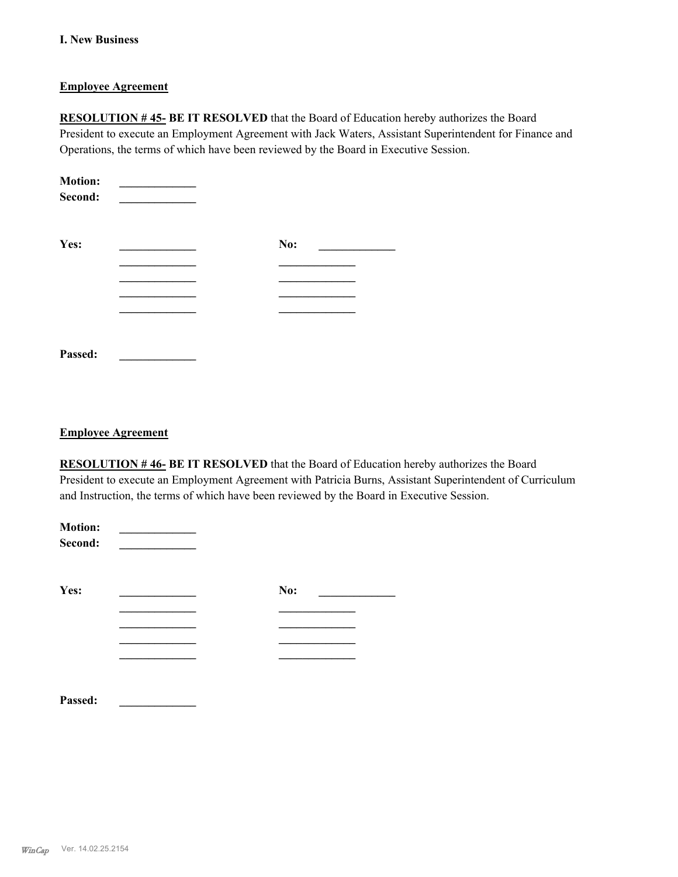## **I. New Business**

## **Employee Agreement**

**RESOLUTION # 45- BE IT RESOLVED** that the Board of Education hereby authorizes the Board President to execute an Employment Agreement with Jack Waters, Assistant Superintendent for Finance and Operations, the terms of which have been reviewed by the Board in Executive Session.

| <b>Motion:</b><br>Second: |     |  |
|---------------------------|-----|--|
| Yes:                      | No: |  |
|                           |     |  |
|                           |     |  |
|                           |     |  |
|                           |     |  |
|                           |     |  |
| Passed:                   |     |  |

#### **Employee Agreement**

**RESOLUTION # 46- BE IT RESOLVED** that the Board of Education hereby authorizes the Board President to execute an Employment Agreement with Patricia Burns, Assistant Superintendent of Curriculum and Instruction, the terms of which have been reviewed by the Board in Executive Session.

| <b>Motion:</b><br>Second: |     |
|---------------------------|-----|
| Yes:                      | No: |
|                           |     |
|                           |     |
|                           |     |
|                           |     |
|                           |     |
| Passed:                   |     |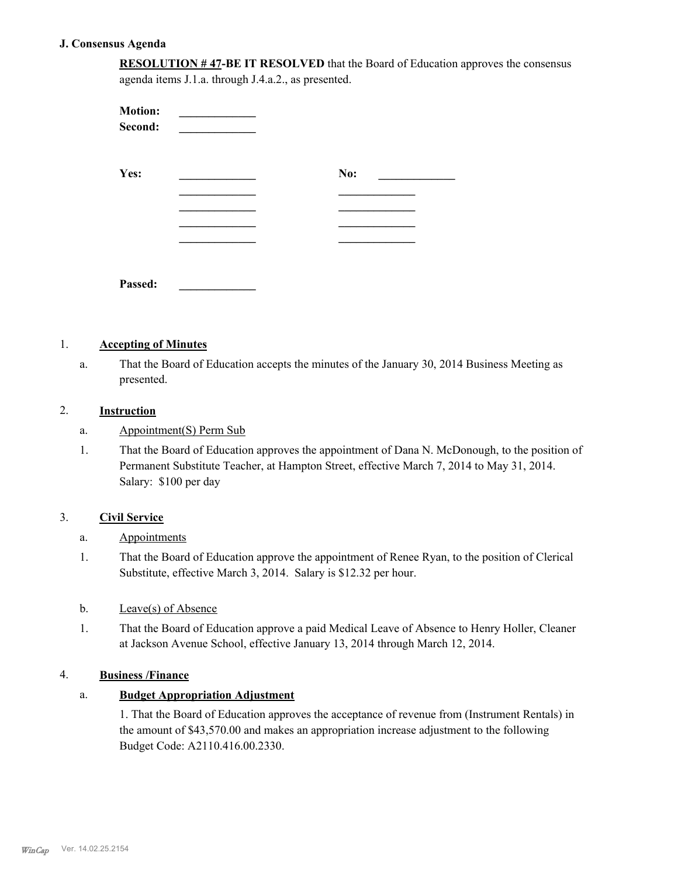## **J. Consensus Agenda**

**RESOLUTION # 47-BE IT RESOLVED** that the Board of Education approves the consensus agenda items J.1.a. through J.4.a.2., as presented.

| <b>Motion:</b><br>Second: |     |  |
|---------------------------|-----|--|
| Yes:                      | No: |  |
|                           |     |  |
|                           |     |  |
|                           |     |  |
| Passed:                   |     |  |

# 1. **Accepting of Minutes**

That the Board of Education accepts the minutes of the January 30, 2014 Business Meeting as presented. a.

## 2. **Instruction**

- a. Appointment(S) Perm Sub
- That the Board of Education approves the appointment of Dana N. McDonough, to the position of Permanent Substitute Teacher, at Hampton Street, effective March 7, 2014 to May 31, 2014. Salary: \$100 per day 1.

## 3. **Civil Service**

## a. Appointments

That the Board of Education approve the appointment of Renee Ryan, to the position of Clerical Substitute, effective March 3, 2014. Salary is \$12.32 per hour. 1.

#### b. Leave(s) of Absence

That the Board of Education approve a paid Medical Leave of Absence to Henry Holler, Cleaner at Jackson Avenue School, effective January 13, 2014 through March 12, 2014. 1.

#### 4. **Business /Finance**

## a. **Budget Appropriation Adjustment**

1. That the Board of Education approves the acceptance of revenue from (Instrument Rentals) in the amount of \$43,570.00 and makes an appropriation increase adjustment to the following Budget Code: A2110.416.00.2330.